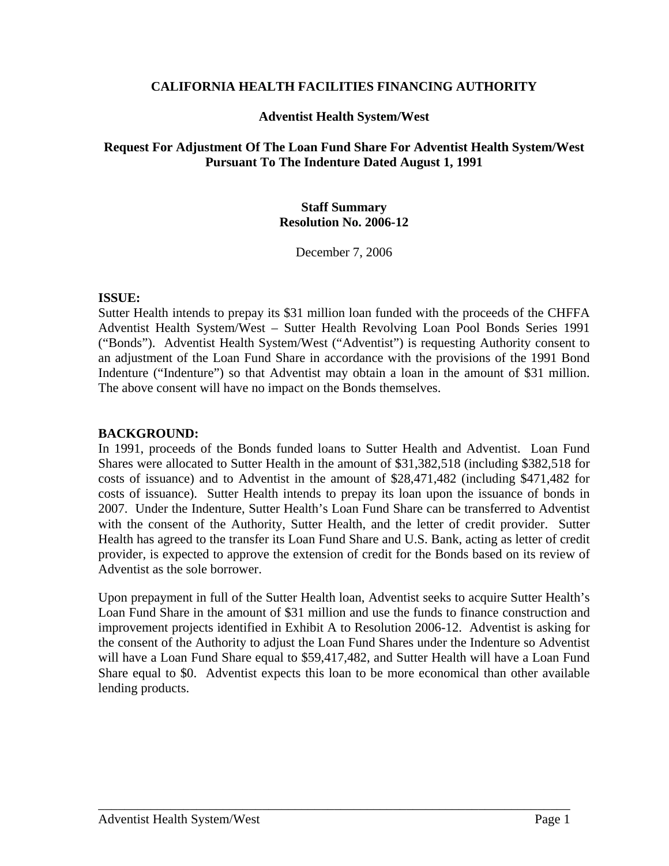#### **CALIFORNIA HEALTH FACILITIES FINANCING AUTHORITY**

## **Adventist Health System/West**

# **Request For Adjustment Of The Loan Fund Share For Adventist Health System/West Pursuant To The Indenture Dated August 1, 1991**

# **Staff Summary Resolution No. 2006-12**

December 7, 2006

## **ISSUE:**

Sutter Health intends to prepay its \$31 million loan funded with the proceeds of the CHFFA Adventist Health System/West – Sutter Health Revolving Loan Pool Bonds Series 1991 ("Bonds"). Adventist Health System/West ("Adventist") is requesting Authority consent to an adjustment of the Loan Fund Share in accordance with the provisions of the 1991 Bond Indenture ("Indenture") so that Adventist may obtain a loan in the amount of \$31 million. The above consent will have no impact on the Bonds themselves.

## **BACKGROUND:**

In 1991, proceeds of the Bonds funded loans to Sutter Health and Adventist. Loan Fund Shares were allocated to Sutter Health in the amount of \$31,382,518 (including \$382,518 for costs of issuance) and to Adventist in the amount of \$28,471,482 (including \$471,482 for costs of issuance). Sutter Health intends to prepay its loan upon the issuance of bonds in 2007. Under the Indenture, Sutter Health's Loan Fund Share can be transferred to Adventist with the consent of the Authority, Sutter Health, and the letter of credit provider. Sutter Health has agreed to the transfer its Loan Fund Share and U.S. Bank, acting as letter of credit provider, is expected to approve the extension of credit for the Bonds based on its review of Adventist as the sole borrower.

Upon prepayment in full of the Sutter Health loan, Adventist seeks to acquire Sutter Health's Loan Fund Share in the amount of \$31 million and use the funds to finance construction and improvement projects identified in Exhibit A to Resolution 2006-12. Adventist is asking for the consent of the Authority to adjust the Loan Fund Shares under the Indenture so Adventist will have a Loan Fund Share equal to \$59,417,482, and Sutter Health will have a Loan Fund Share equal to \$0. Adventist expects this loan to be more economical than other available lending products.

\_\_\_\_\_\_\_\_\_\_\_\_\_\_\_\_\_\_\_\_\_\_\_\_\_\_\_\_\_\_\_\_\_\_\_\_\_\_\_\_\_\_\_\_\_\_\_\_\_\_\_\_\_\_\_\_\_\_\_\_\_\_\_\_\_\_\_\_\_\_\_\_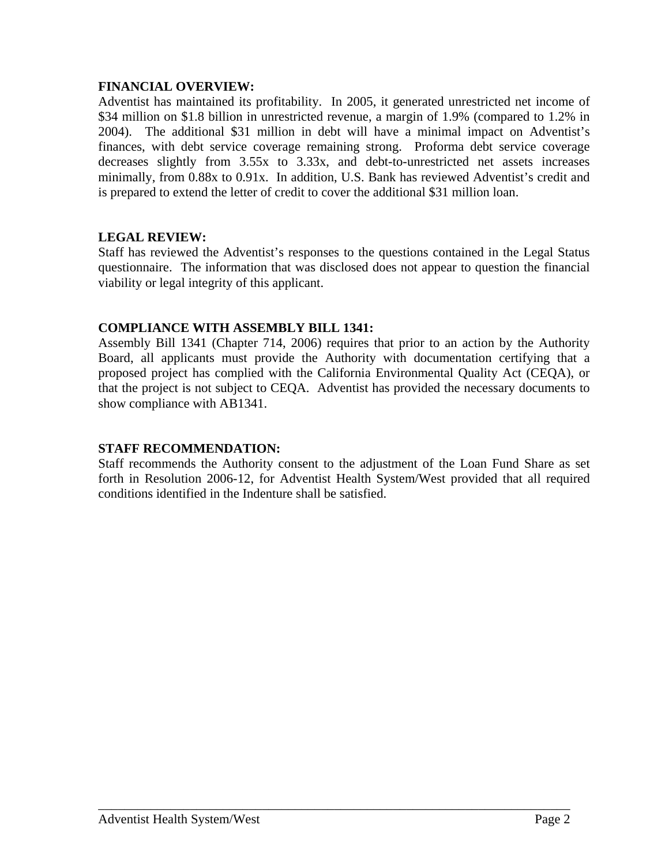## **FINANCIAL OVERVIEW:**

Adventist has maintained its profitability. In 2005, it generated unrestricted net income of \$34 million on \$1.8 billion in unrestricted revenue, a margin of 1.9% (compared to 1.2% in 2004). The additional \$31 million in debt will have a minimal impact on Adventist's finances, with debt service coverage remaining strong. Proforma debt service coverage decreases slightly from 3.55x to 3.33x, and debt-to-unrestricted net assets increases minimally, from 0.88x to 0.91x. In addition, U.S. Bank has reviewed Adventist's credit and is prepared to extend the letter of credit to cover the additional \$31 million loan.

# **LEGAL REVIEW:**

Staff has reviewed the Adventist's responses to the questions contained in the Legal Status questionnaire. The information that was disclosed does not appear to question the financial viability or legal integrity of this applicant.

## **COMPLIANCE WITH ASSEMBLY BILL 1341:**

Assembly Bill 1341 (Chapter 714, 2006) requires that prior to an action by the Authority Board, all applicants must provide the Authority with documentation certifying that a proposed project has complied with the California Environmental Quality Act (CEQA), or that the project is not subject to CEQA. Adventist has provided the necessary documents to show compliance with AB1341.

# **STAFF RECOMMENDATION:**

Staff recommends the Authority consent to the adjustment of the Loan Fund Share as set forth in Resolution 2006-12, for Adventist Health System/West provided that all required conditions identified in the Indenture shall be satisfied.

\_\_\_\_\_\_\_\_\_\_\_\_\_\_\_\_\_\_\_\_\_\_\_\_\_\_\_\_\_\_\_\_\_\_\_\_\_\_\_\_\_\_\_\_\_\_\_\_\_\_\_\_\_\_\_\_\_\_\_\_\_\_\_\_\_\_\_\_\_\_\_\_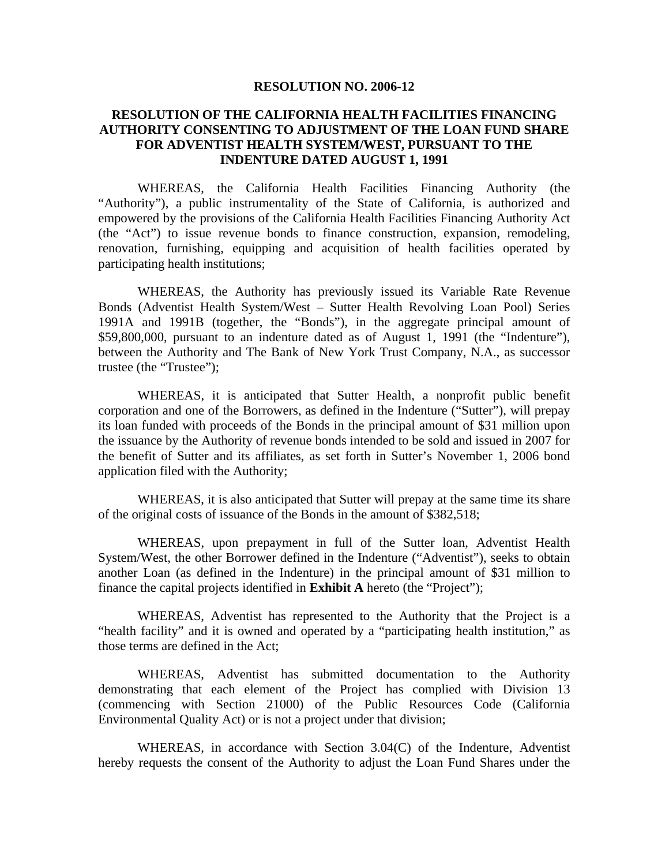#### **RESOLUTION NO. 2006-12**

## **RESOLUTION OF THE CALIFORNIA HEALTH FACILITIES FINANCING AUTHORITY CONSENTING TO ADJUSTMENT OF THE LOAN FUND SHARE FOR ADVENTIST HEALTH SYSTEM/WEST, PURSUANT TO THE INDENTURE DATED AUGUST 1, 1991**

WHEREAS, the California Health Facilities Financing Authority (the "Authority"), a public instrumentality of the State of California, is authorized and empowered by the provisions of the California Health Facilities Financing Authority Act (the "Act") to issue revenue bonds to finance construction, expansion, remodeling, renovation, furnishing, equipping and acquisition of health facilities operated by participating health institutions;

WHEREAS, the Authority has previously issued its Variable Rate Revenue Bonds (Adventist Health System/West – Sutter Health Revolving Loan Pool) Series 1991A and 1991B (together, the "Bonds"), in the aggregate principal amount of \$59,800,000, pursuant to an indenture dated as of August 1, 1991 (the "Indenture"), between the Authority and The Bank of New York Trust Company, N.A., as successor trustee (the "Trustee");

WHEREAS, it is anticipated that Sutter Health, a nonprofit public benefit corporation and one of the Borrowers, as defined in the Indenture ("Sutter"), will prepay its loan funded with proceeds of the Bonds in the principal amount of \$31 million upon the issuance by the Authority of revenue bonds intended to be sold and issued in 2007 for the benefit of Sutter and its affiliates, as set forth in Sutter's November 1, 2006 bond application filed with the Authority;

WHEREAS, it is also anticipated that Sutter will prepay at the same time its share of the original costs of issuance of the Bonds in the amount of \$382,518;

WHEREAS, upon prepayment in full of the Sutter loan, Adventist Health System/West, the other Borrower defined in the Indenture ("Adventist"), seeks to obtain another Loan (as defined in the Indenture) in the principal amount of \$31 million to finance the capital projects identified in **Exhibit A** hereto (the "Project");

WHEREAS, Adventist has represented to the Authority that the Project is a "health facility" and it is owned and operated by a "participating health institution," as those terms are defined in the Act;

WHEREAS, Adventist has submitted documentation to the Authority demonstrating that each element of the Project has complied with Division 13 (commencing with Section 21000) of the Public Resources Code (California Environmental Quality Act) or is not a project under that division;

WHEREAS, in accordance with Section 3.04(C) of the Indenture, Adventist hereby requests the consent of the Authority to adjust the Loan Fund Shares under the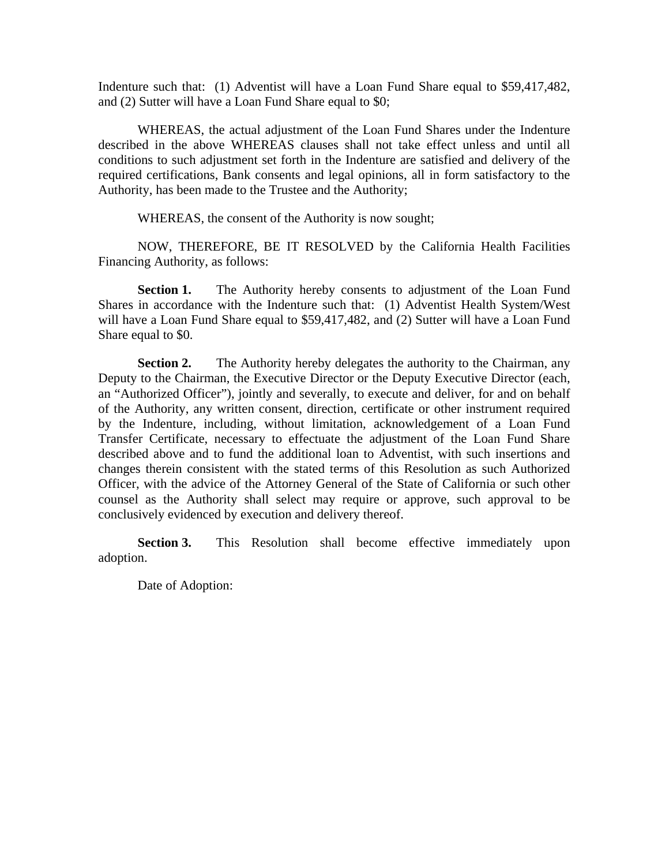Indenture such that: (1) Adventist will have a Loan Fund Share equal to \$59,417,482, and (2) Sutter will have a Loan Fund Share equal to \$0;

WHEREAS, the actual adjustment of the Loan Fund Shares under the Indenture described in the above WHEREAS clauses shall not take effect unless and until all conditions to such adjustment set forth in the Indenture are satisfied and delivery of the required certifications, Bank consents and legal opinions, all in form satisfactory to the Authority, has been made to the Trustee and the Authority;

WHEREAS, the consent of the Authority is now sought;

NOW, THEREFORE, BE IT RESOLVED by the California Health Facilities Financing Authority, as follows:

**Section 1.** The Authority hereby consents to adjustment of the Loan Fund Shares in accordance with the Indenture such that: (1) Adventist Health System/West will have a Loan Fund Share equal to \$59,417,482, and (2) Sutter will have a Loan Fund Share equal to \$0.

**Section 2.** The Authority hereby delegates the authority to the Chairman, any Deputy to the Chairman, the Executive Director or the Deputy Executive Director (each, an "Authorized Officer"), jointly and severally, to execute and deliver, for and on behalf of the Authority, any written consent, direction, certificate or other instrument required by the Indenture, including, without limitation, acknowledgement of a Loan Fund Transfer Certificate, necessary to effectuate the adjustment of the Loan Fund Share described above and to fund the additional loan to Adventist, with such insertions and changes therein consistent with the stated terms of this Resolution as such Authorized Officer, with the advice of the Attorney General of the State of California or such other counsel as the Authority shall select may require or approve, such approval to be conclusively evidenced by execution and delivery thereof.

**Section 3.** This Resolution shall become effective immediately upon adoption.

Date of Adoption: